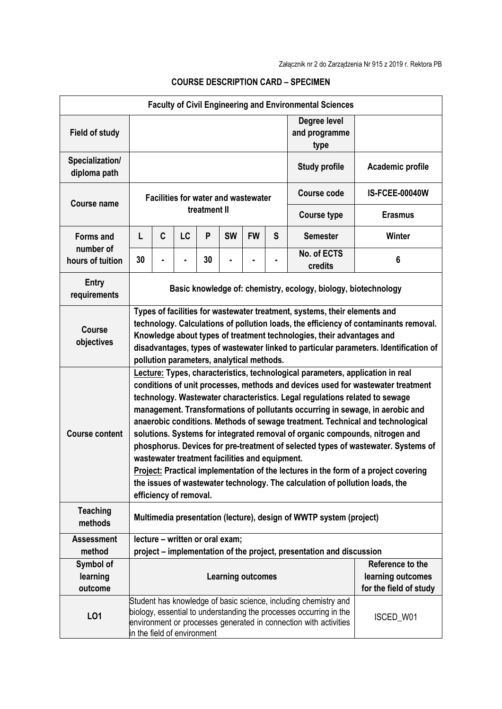| <b>Faculty of Civil Engineering and Environmental Sciences</b> |                                                                                                                                                                                                                                                                                                                                                                                                                                                                                                                                                                                                                                                                                                                                                                                                                                             |                                 |    |    |                          |           |                                       |                        |                                             |
|----------------------------------------------------------------|---------------------------------------------------------------------------------------------------------------------------------------------------------------------------------------------------------------------------------------------------------------------------------------------------------------------------------------------------------------------------------------------------------------------------------------------------------------------------------------------------------------------------------------------------------------------------------------------------------------------------------------------------------------------------------------------------------------------------------------------------------------------------------------------------------------------------------------------|---------------------------------|----|----|--------------------------|-----------|---------------------------------------|------------------------|---------------------------------------------|
| <b>Field of study</b>                                          |                                                                                                                                                                                                                                                                                                                                                                                                                                                                                                                                                                                                                                                                                                                                                                                                                                             |                                 |    |    |                          |           | Degree level<br>and programme<br>type |                        |                                             |
| Specialization/<br>diploma path                                |                                                                                                                                                                                                                                                                                                                                                                                                                                                                                                                                                                                                                                                                                                                                                                                                                                             |                                 |    |    |                          |           | <b>Study profile</b>                  | Academic profile       |                                             |
| <b>Course name</b>                                             | <b>Facilities for water and wastewater</b><br>treatment II                                                                                                                                                                                                                                                                                                                                                                                                                                                                                                                                                                                                                                                                                                                                                                                  |                                 |    |    |                          |           |                                       | Course code            | <b>IS-FCEE-00040W</b>                       |
|                                                                |                                                                                                                                                                                                                                                                                                                                                                                                                                                                                                                                                                                                                                                                                                                                                                                                                                             |                                 |    |    |                          |           |                                       | <b>Course type</b>     | <b>Erasmus</b>                              |
| <b>Forms and</b>                                               | L                                                                                                                                                                                                                                                                                                                                                                                                                                                                                                                                                                                                                                                                                                                                                                                                                                           | C                               | LC | P  | <b>SW</b>                | <b>FW</b> | S                                     | <b>Semester</b>        | <b>Winter</b>                               |
| number of<br>hours of tuition                                  | 30                                                                                                                                                                                                                                                                                                                                                                                                                                                                                                                                                                                                                                                                                                                                                                                                                                          |                                 |    | 30 |                          |           | ۰                                     | No. of ECTS<br>credits | 6                                           |
| <b>Entry</b><br>requirements                                   | Basic knowledge of: chemistry, ecology, biology, biotechnology                                                                                                                                                                                                                                                                                                                                                                                                                                                                                                                                                                                                                                                                                                                                                                              |                                 |    |    |                          |           |                                       |                        |                                             |
| <b>Course</b><br>objectives                                    | Types of facilities for wastewater treatment, systems, their elements and<br>technology. Calculations of pollution loads, the efficiency of contaminants removal.<br>Knowledge about types of treatment technologies, their advantages and<br>disadvantages, types of wastewater linked to particular parameters. Identification of<br>pollution parameters, analytical methods.                                                                                                                                                                                                                                                                                                                                                                                                                                                            |                                 |    |    |                          |           |                                       |                        |                                             |
| <b>Course content</b>                                          | Lecture: Types, characteristics, technological parameters, application in real<br>conditions of unit processes, methods and devices used for wastewater treatment<br>technology. Wastewater characteristics. Legal regulations related to sewage<br>management. Transformations of pollutants occurring in sewage, in aerobic and<br>anaerobic conditions. Methods of sewage treatment. Technical and technological<br>solutions. Systems for integrated removal of organic compounds, nitrogen and<br>phosphorus. Devices for pre-treatment of selected types of wastewater. Systems of<br>wastewater treatment facilities and equipment.<br>Project: Practical implementation of the lectures in the form of a project covering<br>the issues of wastewater technology. The calculation of pollution loads, the<br>efficiency of removal. |                                 |    |    |                          |           |                                       |                        |                                             |
| <b>Teaching</b><br>methods                                     | Multimedia presentation (lecture), design of WWTP system (project)                                                                                                                                                                                                                                                                                                                                                                                                                                                                                                                                                                                                                                                                                                                                                                          |                                 |    |    |                          |           |                                       |                        |                                             |
| <b>Assessment</b>                                              |                                                                                                                                                                                                                                                                                                                                                                                                                                                                                                                                                                                                                                                                                                                                                                                                                                             | lecture - written or oral exam; |    |    |                          |           |                                       |                        |                                             |
| method<br>Symbol of                                            | project – implementation of the project, presentation and discussion<br>Reference to the                                                                                                                                                                                                                                                                                                                                                                                                                                                                                                                                                                                                                                                                                                                                                    |                                 |    |    |                          |           |                                       |                        |                                             |
| learning<br>outcome                                            |                                                                                                                                                                                                                                                                                                                                                                                                                                                                                                                                                                                                                                                                                                                                                                                                                                             |                                 |    |    | <b>Learning outcomes</b> |           |                                       |                        | learning outcomes<br>for the field of study |
| LO1                                                            | Student has knowledge of basic science, including chemistry and<br>biology, essential to understanding the processes occurring in the<br>environment or processes generated in connection with activities<br>in the field of environment                                                                                                                                                                                                                                                                                                                                                                                                                                                                                                                                                                                                    |                                 |    |    |                          |           |                                       | ISCED_W01              |                                             |

## **COURSE DESCRIPTION CARD – SPECIMEN**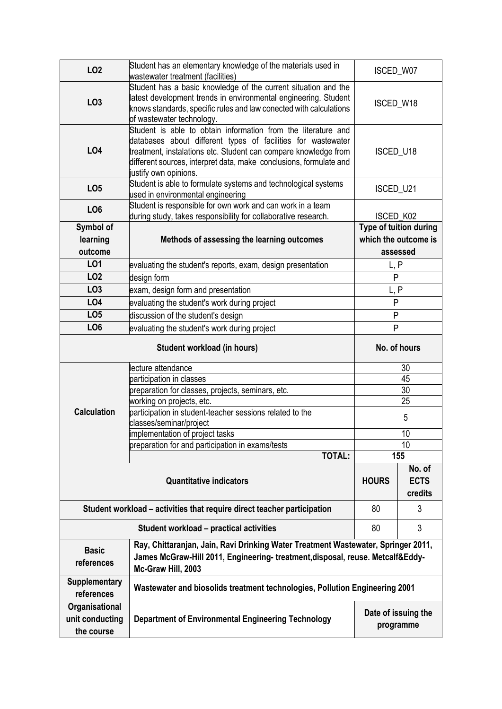| LO <sub>2</sub>                                                                                                                                                                                                         | Student has an elementary knowledge of the materials used in<br>wastewater treatment (facilities)                                                                                                                                                                                               | ISCED_W07                        |  |  |  |  |
|-------------------------------------------------------------------------------------------------------------------------------------------------------------------------------------------------------------------------|-------------------------------------------------------------------------------------------------------------------------------------------------------------------------------------------------------------------------------------------------------------------------------------------------|----------------------------------|--|--|--|--|
| LO <sub>3</sub>                                                                                                                                                                                                         | Student has a basic knowledge of the current situation and the<br>latest development trends in environmental engineering. Student<br>knows standards, specific rules and law conected with calculations<br>of wastewater technology.                                                            | ISCED_W18                        |  |  |  |  |
| LO4                                                                                                                                                                                                                     | Student is able to obtain information from the literature and<br>databases about different types of facilities for wastewater<br>treatment, instalations etc. Student can compare knowledge from<br>different sources, interpret data, make conclusions, formulate and<br>justify own opinions. |                                  |  |  |  |  |
| LO <sub>5</sub>                                                                                                                                                                                                         | Student is able to formulate systems and technological systems<br>used in environmental engineering                                                                                                                                                                                             | ISCED_U21                        |  |  |  |  |
| LO <sub>6</sub>                                                                                                                                                                                                         | Student is responsible for own work and can work in a team<br>during study, takes responsibility for collaborative research.                                                                                                                                                                    | ISCED_K02                        |  |  |  |  |
| Symbol of<br>learning<br>outcome                                                                                                                                                                                        | Methods of assessing the learning outcomes                                                                                                                                                                                                                                                      |                                  |  |  |  |  |
| <b>LO1</b>                                                                                                                                                                                                              | evaluating the student's reports, exam, design presentation                                                                                                                                                                                                                                     | L, P                             |  |  |  |  |
| LO <sub>2</sub>                                                                                                                                                                                                         | design form                                                                                                                                                                                                                                                                                     | P                                |  |  |  |  |
| LO <sub>3</sub>                                                                                                                                                                                                         | exam, design form and presentation                                                                                                                                                                                                                                                              | L, P                             |  |  |  |  |
| LO4                                                                                                                                                                                                                     | evaluating the student's work during project                                                                                                                                                                                                                                                    | ${\sf P}$                        |  |  |  |  |
| LO <sub>5</sub>                                                                                                                                                                                                         | discussion of the student's design                                                                                                                                                                                                                                                              | ${\sf P}$                        |  |  |  |  |
| LO <sub>6</sub>                                                                                                                                                                                                         | evaluating the student's work during project                                                                                                                                                                                                                                                    | P                                |  |  |  |  |
|                                                                                                                                                                                                                         | No. of hours                                                                                                                                                                                                                                                                                    |                                  |  |  |  |  |
|                                                                                                                                                                                                                         | lecture attendance                                                                                                                                                                                                                                                                              | 30                               |  |  |  |  |
|                                                                                                                                                                                                                         | participation in classes<br>preparation for classes, projects, seminars, etc.                                                                                                                                                                                                                   | 45<br>$\overline{30}$            |  |  |  |  |
|                                                                                                                                                                                                                         | working on projects, etc.                                                                                                                                                                                                                                                                       | 25                               |  |  |  |  |
| <b>Calculation</b>                                                                                                                                                                                                      | participation in student-teacher sessions related to the                                                                                                                                                                                                                                        | 5                                |  |  |  |  |
|                                                                                                                                                                                                                         | classes/seminar/project                                                                                                                                                                                                                                                                         |                                  |  |  |  |  |
|                                                                                                                                                                                                                         | implementation of project tasks                                                                                                                                                                                                                                                                 | 10                               |  |  |  |  |
|                                                                                                                                                                                                                         | preparation for and participation in exams/tests                                                                                                                                                                                                                                                | 10                               |  |  |  |  |
| <b>TOTAL:</b>                                                                                                                                                                                                           |                                                                                                                                                                                                                                                                                                 | 155                              |  |  |  |  |
|                                                                                                                                                                                                                         | <b>HOURS</b>                                                                                                                                                                                                                                                                                    | No. of<br><b>ECTS</b><br>credits |  |  |  |  |
| Student workload – activities that require direct teacher participation                                                                                                                                                 | 80                                                                                                                                                                                                                                                                                              | 3                                |  |  |  |  |
|                                                                                                                                                                                                                         | 80                                                                                                                                                                                                                                                                                              | 3                                |  |  |  |  |
| Ray, Chittaranjan, Jain, Ravi Drinking Water Treatment Wastewater, Springer 2011,<br><b>Basic</b><br>James McGraw-Hill 2011, Engineering- treatment, disposal, reuse. Metcalf&Eddy-<br>references<br>Mc-Graw Hill, 2003 |                                                                                                                                                                                                                                                                                                 |                                  |  |  |  |  |
| <b>Supplementary</b><br>references                                                                                                                                                                                      | Wastewater and biosolids treatment technologies, Pollution Engineering 2001                                                                                                                                                                                                                     |                                  |  |  |  |  |
| Organisational<br>unit conducting<br>the course                                                                                                                                                                         | Date of issuing the<br><b>Department of Environmental Engineering Technology</b><br>programme                                                                                                                                                                                                   |                                  |  |  |  |  |